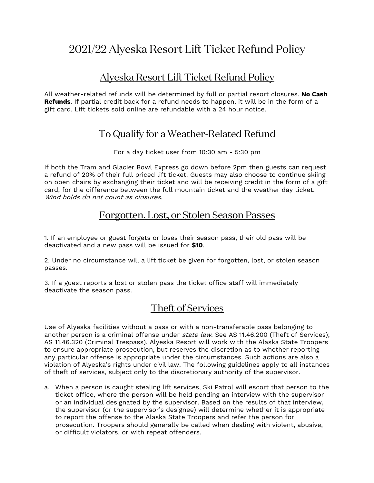# 2021/22 Alyeska Resort Lift Ticket Refund Policy

# Alyeska Resort Lift Ticket Refund Policy

All weather-related refunds will be determined by full or partial resort closures. **No Cash Refunds**. If partial credit back for a refund needs to happen, it will be in the form of a gift card. Lift tickets sold online are refundable with a 24 hour notice.

## To Qualify for a Weather-Related Refund

For a day ticket user from 10:30 am - 5:30 pm

If both the Tram and Glacier Bowl Express go down before 2pm then guests can request a refund of 20% of their full priced lift ticket. Guests may also choose to continue skiing on open chairs by exchanging their ticket and will be receiving credit in the form of a gift card, for the difference between the full mountain ticket and the weather day ticket. Wind holds do not count as closures.

#### Forgotten, Lost, or Stolen Season Passes

1. If an employee or guest forgets or loses their season pass, their old pass will be deactivated and a new pass will be issued for **\$10**.

2. Under no circumstance will a lift ticket be given for forgotten, lost, or stolen season passes.

3. If a guest reports a lost or stolen pass the ticket office staff will immediately deactivate the season pass.

# Theft of Services

Use of Alyeska facilities without a pass or with a non-transferable pass belonging to another person is a criminal offense under *state law*. See AS 11.46.200 (Theft of Services); AS 11.46.320 (Criminal Trespass). Alyeska Resort will work with the Alaska State Troopers to ensure appropriate prosecution, but reserves the discretion as to whether reporting any particular offense is appropriate under the circumstances. Such actions are also a violation of Alyeska's rights under civil law. The following guidelines apply to all instances of theft of services, subject only to the discretionary authority of the supervisor.

a. When a person is caught stealing lift services, Ski Patrol will escort that person to the ticket office, where the person will be held pending an interview with the supervisor or an individual designated by the supervisor. Based on the results of that interview, the supervisor (or the supervisor's designee) will determine whether it is appropriate to report the offense to the Alaska State Troopers and refer the person for prosecution. Troopers should generally be called when dealing with violent, abusive, or difficult violators, or with repeat offenders.